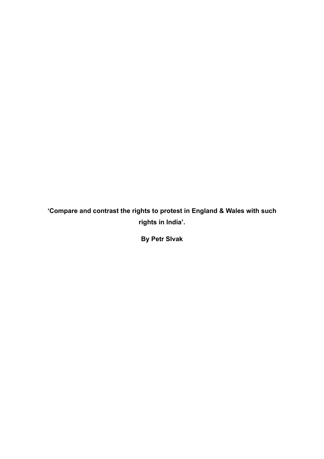**'Compare and contrast the rights to protest in England & Wales with such rights in India'.**

**By Petr SIvak**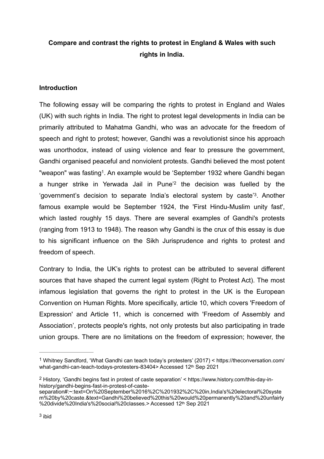# **Compare and contrast the rights to protest in England & Wales with such rights in India.**

# **Introduction**

<span id="page-1-4"></span><span id="page-1-3"></span>The following essay will be comparing the rights to protest in England and Wales (UK) with such rights in India. The right to protest legal developments in India can be primarily attributed to Mahatma Gandhi, who was an advocate for the freedom of speech and right to protest; however, Gandhi was a revolutionist since his approach was unorthodox, instead of using violence and fear to pressure the government, Gandhi organised peaceful and nonviolent protests. Gandhi believed the most potent "weapon" was fasting<sup>1</sup>[.](#page-1-0) An example would be 'September [1](#page-1-0)932 where Gandhi began a hunger strike in Yerwada Jail in Pune<sup>'[2](#page-1-1)</sup> the decision was fuelled by the 'government's decision to separate India's electoral system by caste<sup>'[3](#page-1-2)</sup>. Another famous example would be September 1924, the 'First Hindu-Muslim unity fast', which lasted roughly 15 days. There are several examples of Gandhi's protests (ranging from 1913 to 1948). The reason why Gandhi is the crux of this essay is due to his significant influence on the Sikh Jurisprudence and rights to protest and freedom of speech.

<span id="page-1-5"></span>Contrary to India, the UK's rights to protest can be attributed to several different sources that have shaped the current legal system (Right to Protest Act). The most infamous legislation that governs the right to protest in the UK is the European Convention on Human Rights. More specifically, article 10, which covers 'Freedom of Expression' and Article 11, which is concerned with 'Freedom of Assembly and Association', protects people's rights, not only protests but also participating in trade union groups. There are no limitations on the freedom of expression; however, the

<span id="page-1-0"></span>Whitney Sandford, 'What Gandhi can teach today's protesters' (2017) < https://theconversation.com/ [1](#page-1-3) what-gandhi-can-teach-todays-protesters-83404> Accessed 12<sup>th</sup> Sep 2021

<span id="page-1-1"></span> $2$  History, 'Gandhi begins fast in protest of caste separation' < https://www.history.com/this-day-inhistory/gandhi-begins-fast-in-protest-of-caste-

<span id="page-1-2"></span>separation#:~:text=On%20September%2016%2C%201932%2C%20in,India's%20electoral%20syste m%20by%20caste.&text=Gandhi%20believed%20this%20would%20permanently%20and%20unfairly %20divide%20India's%20social%20classes.> Accessed 12th Sep 2021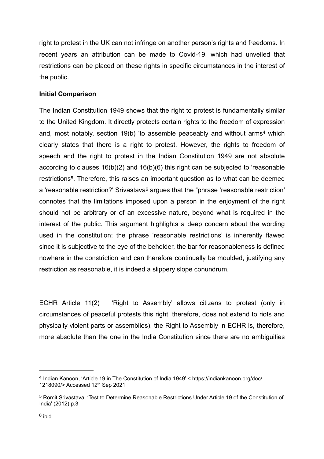right to protest in the UK can not infringe on another person's rights and freedoms. In recent years an attribution can be made to Covid-19, which had unveiled that restrictions can be placed on these rights in specific circumstances in the interest of the public.

# **Initial Comparison**

<span id="page-2-5"></span><span id="page-2-4"></span><span id="page-2-3"></span>The Indian Constitution 1949 shows that the right to protest is fundamentally similar to the United Kingdom. It directly protects certain rights to the freedom of expression and, most notably, section 19(b) 'to assemble peaceably and without arms<sup>[4](#page-2-0)</sup> which clearly states that there is a right to protest. However, the rights to freedom of speech and the right to protest in the Indian Constitution 1949 are not absolute according to clauses 16(b)(2) and 16(b)(6) this right can be subjected to 'reasonable restrictions<sup>[5](#page-2-1)</sup>. Therefore, this raises an important question as to what can be deemed a 'reasonable restriction?' Srivastava<sup>[6](#page-2-2)</sup> argues that the "phrase 'reasonable restriction' connotes that the limitations imposed upon a person in the enjoyment of the right should not be arbitrary or of an excessive nature, beyond what is required in the interest of the public. This argument highlights a deep concern about the wording used in the constitution; the phrase 'reasonable restrictions' is inherently flawed since it is subjective to the eye of the beholder, the bar for reasonableness is defined nowhere in the constriction and can therefore continually be moulded, justifying any restriction as reasonable, it is indeed a slippery slope conundrum.

ECHR Article 11(2) 'Right to Assembly' allows citizens to protest (only in circumstances of peaceful protests this right, therefore, does not extend to riots and physically violent parts or assemblies), the Right to Assembly in ECHR is, therefore, more absolute than the one in the India Constitution since there are no ambiguities

<span id="page-2-0"></span>Indian Kanoon, 'Article 19 in The Constitution of India 1949' < https://indiankanoon.org/doc/ [4](#page-2-3) 1218090/> Accessed 12th Sep 2021

<span id="page-2-2"></span><span id="page-2-1"></span><sup>&</sup>lt;sup>[5](#page-2-4)</sup> Romit Srivastava, 'Test to Determine Reasonable Restrictions Under Article 19 of the Constitution of India' (2012) p.3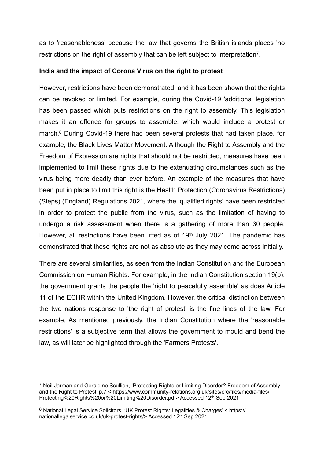<span id="page-3-2"></span>as to 'reasonableness' because the law that governs the British islands places 'no restrictions on the right of assembly that can be left subject to interpretation<sup>[7](#page-3-0)</sup>.

## **India and the impact of Corona Virus on the right to protest**

<span id="page-3-3"></span>However, restrictions have been demonstrated, and it has been shown that the rights can be revoked or limited. For example, during the Covid-19 'additional legislation has been passed which puts restrictions on the right to assembly. This legislation makes it an offence for groups to assemble, which would include a protest or march. $8$  During Covid-19 there had been several protests that had taken place, for example, the Black Lives Matter Movement. Although the Right to Assembly and the Freedom of Expression are rights that should not be restricted, measures have been implemented to limit these rights due to the extenuating circumstances such as the virus being more deadly than ever before. An example of the measures that have been put in place to limit this right is the Health Protection (Coronavirus Restrictions) (Steps) (England) Regulations 2021, where the 'qualified rights' have been restricted in order to protect the public from the virus, such as the limitation of having to undergo a risk assessment when there is a gathering of more than 30 people. However, all restrictions have been lifted as of 19<sup>th</sup> July 2021. The pandemic has demonstrated that these rights are not as absolute as they may come across initially.

There are several similarities, as seen from the Indian Constitution and the European Commission on Human Rights. For example, in the Indian Constitution section 19(b), the government grants the people the 'right to peacefully assemble' as does Article 11 of the ECHR within the United Kingdom. However, the critical distinction between the two nations response to 'the right of protest' is the fine lines of the law. For example, As mentioned previously, the Indian Constitution where the 'reasonable restrictions' is a subjective term that allows the government to mould and bend the law, as will later be highlighted through the 'Farmers Protests'.

<span id="page-3-0"></span>Neil Jarman and Geraldine Scullion, 'Protecting Rights or Limiting Disorder? Freedom of Assembly [7](#page-3-2) and the Right to Protest' p.7 < https://www.community-relations.org.uk/sites/crc/files/media-files/ Protecting%20Rights%20or%20Limiting%20Disorder.pdf> Accessed 12th Sep 2021

<span id="page-3-1"></span><sup>&</sup>lt;sup>[8](#page-3-3)</sup> National Legal Service Solicitors, 'UK Protest Rights: Legalities & Charges' < https:// nationallegalservice.co.uk/uk-protest-rights/> Accessed 12th Sep 2021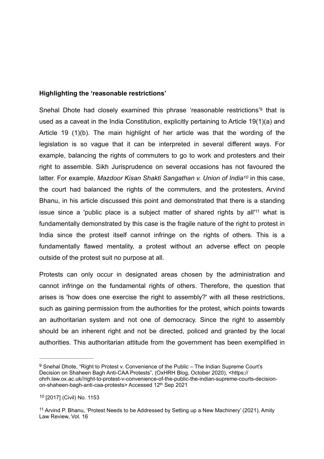## **Highlighting the 'reasonable restrictions'**

<span id="page-4-4"></span><span id="page-4-3"></span>SnehalDhote had closely examined this phrase 'reasonable restrictions'<sup>[9](#page-4-0)</sup> that is used as a caveat in the India Constitution, explicitly pertaining to Article 19(1)(a) and Article 19 (1)(b). The main highlight of her article was that the wording of the legislation is so vague that it can be interpreted in several different ways. For example, balancing the rights of commuters to go to work and protesters and their right to assemble. Sikh Jurisprudence on several occasions has not favoured the latter. For example, *Mazdoor Kisan Shakti Sangathan v. Union of India<sup>[10](#page-4-1)</sup> in this case,* the court had balanced the rights of the commuters, and the protesters, Arvind Bhanu, in his article discussed this point and demonstrated that there is a standing issuesince a 'public place is a subject matter of shared rights by all<sup>'[11](#page-4-2)</sup> what is fundamentally demonstrated by this case is the fragile nature of the right to protest in India since the protest itself cannot infringe on the rights of others. This is a fundamentally flawed mentality, a protest without an adverse effect on people outside of the protest suit no purpose at all.

<span id="page-4-5"></span>Protests can only occur in designated areas chosen by the administration and cannot infringe on the fundamental rights of others. Therefore, the question that arises is 'how does one exercise the right to assembly?' with all these restrictions, such as gaining permission from the authorities for the protest, which points towards an authoritarian system and not one of democracy. Since the right to assembly should be an inherent right and not be directed, policed and granted by the local authorities. This authoritarian attitude from the government has been exemplified in

<span id="page-4-0"></span>[<sup>9</sup>](#page-4-3) Snehal Dhote, "Right to Protest v. Convenience of the Public – The Indian Supreme Court's Decision on Shaheen Bagh Anti-CAA Protests", (OxHRH Blog, October 2020), <https:// ohrh.law.ox.ac.uk//right-to-protest-v-convenience-of-the-public-the-indian-supreme-courts-decisionon-shaheen-bagh-anti-caa-protests> Accessed 12th Sep 2021

<span id="page-4-1"></span> <sup>[2017] (</sup>Civil) No. 1153 *[10](#page-4-4)*

<span id="page-4-2"></span><sup>&</sup>lt;sup>[11](#page-4-5)</sup> Arvind P. Bhanu, 'Protest Needs to be Addressed by Setting up a New Machinery' (2021), Amity Law Review, Vol. 16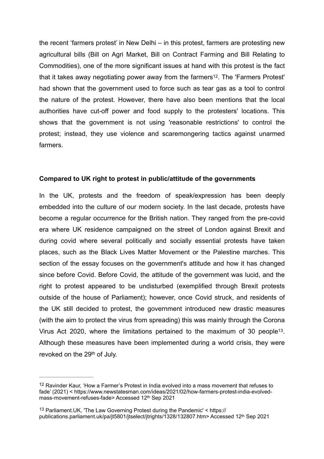<span id="page-5-2"></span>the recent 'farmers protest' in New Delhi – in this protest, farmers are protesting new agricultural bills (Bill on Agri Market, Bill on Contract Farming and Bill Relating to Commodities), one of the more significant issues at hand with this protest is the fact that it takes away negotiating power away from the farmers<sup>[12](#page-5-0)</sup>. The 'Farmers Protest' had shown that the government used to force such as tear gas as a tool to control the nature of the protest. However, there have also been mentions that the local authorities have cut-off power and food supply to the protesters' locations. This shows that the government is not using 'reasonable restrictions' to control the protest; instead, they use violence and scaremongering tactics against unarmed farmers.

#### **Compared to UK right to protest in public/attitude of the governments**

In the UK, protests and the freedom of speak/expression has been deeply embedded into the culture of our modern society. In the last decade, protests have become a regular occurrence for the British nation. They ranged from the pre-covid era where UK residence campaigned on the street of London against Brexit and during covid where several politically and socially essential protests have taken places, such as the Black Lives Matter Movement or the Palestine marches. This section of the essay focuses on the government's attitude and how it has changed since before Covid. Before Covid, the attitude of the government was lucid, and the right to protest appeared to be undisturbed (exemplified through Brexit protests outside of the house of Parliament); however, once Covid struck, and residents of the UK still decided to protest, the government introduced new drastic measures (with the aim to protect the virus from spreading) this was mainly through the Corona Virus Act 2020, where the limitations pertained to the maximum of 30 people<sup>13</sup>[.](#page-5-1) Although these measures have been implemented during a world crisis, they were revoked on the 29<sup>th</sup> of July.

<span id="page-5-3"></span><span id="page-5-0"></span> $12$ Ravinder Kaur, 'How a Farmer's Protest in India evolved into a mass movement that refuses to fade' (2021) < https://www.newstatesman.com/ideas/2021/02/how-farmers-protest-india-evolvedmass-movement-refuses-fade> Accessed 12th Sep 2021

<span id="page-5-1"></span><sup>&</sup>lt;sup>[13](#page-5-3)</sup> Parliament.UK, 'The Law Governing Protest during the Pandemic'  $\leq$  https:// publications.parliament.uk/pa/jt5801/jtselect/jtrights/1328/132807.htm> Accessed 12th Sep 2021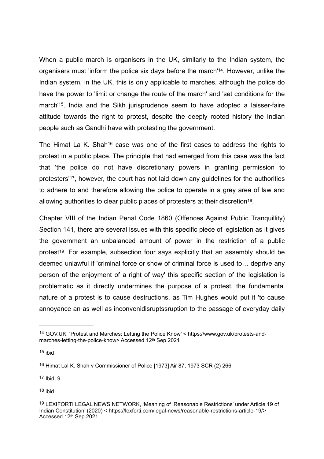<span id="page-6-6"></span>When a public march is organisers in the UK, similarly to the Indian system, the organisers must 'inform the police six days before the march'<sup>[14](#page-6-0)</sup>. However, unlike the Indian system, in the UK, this is only applicable to marches, although the police do have the power to 'limit or change the route of the march' and 'set conditions for the march<sup>'15</sup>[.](#page-6-1) India and the Sikh jurisprudence seem to have adopted a laisser-faire attitude towards the right to protest, despite the deeply rooted history the Indian people such as Gandhi have with protesting the government.

<span id="page-6-9"></span><span id="page-6-8"></span><span id="page-6-7"></span>TheHimat La K. Shah<sup>[16](#page-6-2)</sup> case was one of the first cases to address the rights to protest in a public place. The principle that had emerged from this case was the fact that 'the police do not have discretionary powers in granting permission to protesters<sup>'17</sup>[,](#page-6-3) however, the court has not laid down any guidelines for the authorities to adhere to and therefore allowing the police to operate in a grey area of law and allowing authorities to clear public places of protesters at their discretion<sup>[18](#page-6-4)</sup>.

<span id="page-6-11"></span><span id="page-6-10"></span>Chapter VIII of the Indian Penal Code 1860 (Offences Against Public Tranquillity) Section 141, there are several issues with this specific piece of legislation as it gives the government an unbalanced amount of power in the restriction of a public protest<sup>19</sup>[.](#page-6-5) For example, subsection four says explicitly that an assembly should be deemed unlawful if 'criminal force or show of criminal force is used to… deprive any person of the enjoyment of a right of way' this specific section of the legislation is problematic as it directly undermines the purpose of a protest, the fundamental nature of a protest is to cause destructions, as Tim Hughes would put it 'to cause annoyance an as well as inconvenidisruptssruption to the passage of everyday daily

<span id="page-6-1"></span> $15$  ibid

<span id="page-6-3"></span> $17$  Ibid, 9

<span id="page-6-4"></span>[18](#page-6-10) ibid

<span id="page-6-0"></span>GOV.UK, 'Protest and Marches: Letting the Police Know' < https://www.gov.uk/protests-and- [14](#page-6-6) marches-letting-the-police-know> Accessed 12th Sep 2021

<span id="page-6-2"></span><sup>&</sup>lt;sup>[16](#page-6-8)</sup> Himat Lal K. Shah v Commissioner of Police [1973] Air 87, 1973 SCR (2) 266

<span id="page-6-5"></span><sup>19</sup>LEXIFORTI LEGAL NEWS NETWORK, 'Meaning of 'Reasonable Restrictions' under Article [19](#page-6-11) of Indian Constitution' (2020) < https://lexforti.com/legal-news/reasonable-restrictions-article-19/> Accessed 12th Sep 2021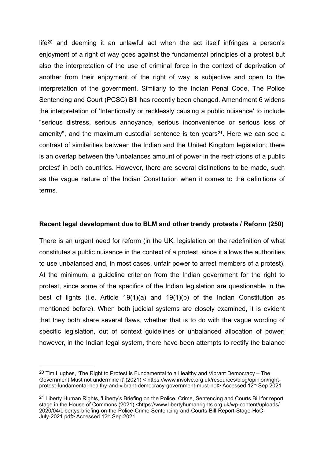<span id="page-7-3"></span><span id="page-7-2"></span>lif[e](#page-7-0)<sup>[20](#page-7-0)</sup> and deeming it an unlawful act when the act itself infringes a person's enjoyment of a right of way goes against the fundamental principles of a protest but also the interpretation of the use of criminal force in the context of deprivation of another from their enjoyment of the right of way is subjective and open to the interpretation of the government. Similarly to the Indian Penal Code, The Police Sentencing and Court (PCSC) Bill has recently been changed. Amendment 6 widens the interpretation of 'Intentionally or recklessly causing a public nuisance' to include "serious distress, serious annoyance, serious inconvenience or serious loss of amenity", and the maximum custodial sentence is ten years<sup>21</sup>[.](#page-7-1) Here we can see a contrast of similarities between the Indian and the United Kingdom legislation; there is an overlap between the 'unbalances amount of power in the restrictions of a public protest' in both countries. However, there are several distinctions to be made, such as the vague nature of the Indian Constitution when it comes to the definitions of terms.

## **Recent legal development due to BLM and other trendy protests / Reform (250)**

There is an urgent need for reform (in the UK, legislation on the redefinition of what constitutes a public nuisance in the context of a protest, since it allows the authorities to use unbalanced and, in most cases, unfair power to arrest members of a protest). At the minimum, a guideline criterion from the Indian government for the right to protest, since some of the specifics of the Indian legislation are questionable in the best of lights (i.e. Article 19(1)(a) and 19(1)(b) of the Indian Constitution as mentioned before). When both judicial systems are closely examined, it is evident that they both share several flaws, whether that is to do with the vague wording of specific legislation, out of context guidelines or unbalanced allocation of power; however, in the Indian legal system, there have been attempts to rectify the balance

<span id="page-7-0"></span><sup>&</sup>lt;sup>20</sup>Tim Hughes, 'The Right to Protest is Fundamental to a Healthy and Vibrant Democracy – The Government Must not undermine it' (2021) < https://www.involve.org.uk/resources/blog/opinion/rightprotest-fundamental-healthy-and-vibrant-democracy-government-must-not> Accessed 12th Sep 2021

<span id="page-7-1"></span><sup>&</sup>lt;sup>21</sup>Liberty Human Rights, 'Liberty's Briefing on the Police, Crime, Sentencing and Courts Bill for report stage in the House of Commons (2021) <https://www.libertyhumanrights.org.uk/wp-content/uploads/ 2020/04/Libertys-briefing-on-the-Police-Crime-Sentencing-and-Courts-Bill-Report-Stage-HoC-July-2021.pdf> Accessed 12th Sep 2021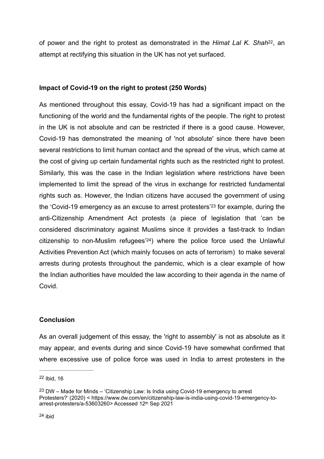<span id="page-8-3"></span>of power and the right to protest as demonstrated in the *Himat Lal K. Shah*<sup>[22](#page-8-0)</sup>, an attempt at rectifying this situation in the UK has not yet surfaced.

# **Impact of Covid-19 on the right to protest (250 Words)**

<span id="page-8-4"></span>As mentioned throughout this essay, Covid-19 has had a significant impact on the functioning of the world and the fundamental rights of the people. The right to protest in the UK is not absolute and can be restricted if there is a good cause. However, Covid-19 has demonstrated the meaning of 'not absolute' since there have been several restrictions to limit human contact and the spread of the virus, which came at the cost of giving up certain fundamental rights such as the restricted right to protest. Similarly, this was the case in the Indian legislation where restrictions have been implemented to limit the spread of the virus in exchange for restricted fundamental rights such as. However, the Indian citizens have accused the government of using the ['](#page-8-1)Covid-19 emergency as an excuse to arrest protesters'<sup>[23](#page-8-1)</sup> for example, during the anti-Citizenship Amendment Act protests (a piece of legislation that 'can be considered discriminatory against Muslims since it provides a fast-track to Indian citizenship to non-Muslim refugees'<sup>24</sup>[\)](#page-8-2) where the police force used the Unlawful Activities Prevention Act (which mainly focuses on acts of terrorism) to make several arrests during protests throughout the pandemic, which is a clear example of how the Indian authorities have moulded the law according to their agenda in the name of Covid.

## <span id="page-8-5"></span>**Conclusion**

As an overall judgement of this essay, the 'right to assembly' is not as absolute as it may appear, and events during and since Covid-19 have somewhat confirmed that where excessive use of police force was used in India to arrest protesters in the

<span id="page-8-0"></span> $22$  Ibid, 16

<span id="page-8-2"></span><span id="page-8-1"></span> $23$ DW – Made for Minds – 'Citizenship Law: Is India using Covid-19 emergency to arrest Protesters?' (2020) < https://www.dw.com/en/citizenship-law-is-india-using-covid-19-emergency-toarrest-protesters/a-53603260> Accessed 12th Sep 2021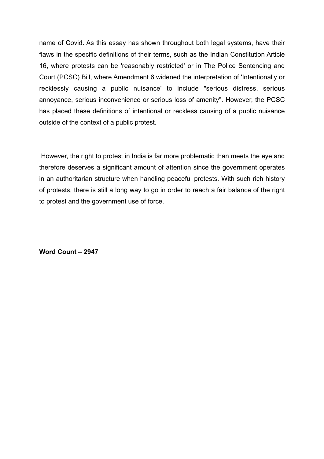name of Covid. As this essay has shown throughout both legal systems, have their flaws in the specific definitions of their terms, such as the Indian Constitution Article 16, where protests can be 'reasonably restricted' or in The Police Sentencing and Court (PCSC) Bill, where Amendment 6 widened the interpretation of 'Intentionally or recklessly causing a public nuisance' to include "serious distress, serious annoyance, serious inconvenience or serious loss of amenity". However, the PCSC has placed these definitions of intentional or reckless causing of a public nuisance outside of the context of a public protest.

 However, the right to protest in India is far more problematic than meets the eye and therefore deserves a significant amount of attention since the government operates in an authoritarian structure when handling peaceful protests. With such rich history of protests, there is still a long way to go in order to reach a fair balance of the right to protest and the government use of force.

**Word Count – 2947**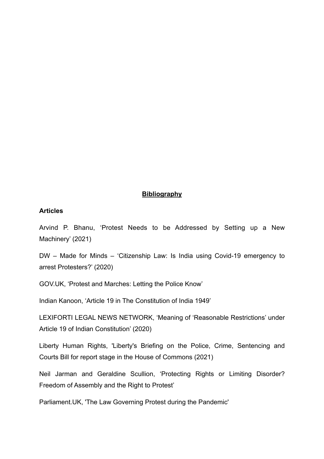# **Bibliography**

#### **Articles**

Arvind P. Bhanu, 'Protest Needs to be Addressed by Setting up a New Machinery' (2021)

DW – Made for Minds – 'Citizenship Law: Is India using Covid-19 emergency to arrest Protesters?' (2020)

GOV.UK, 'Protest and Marches: Letting the Police Know'

Indian Kanoon, 'Article 19 in The Constitution of India 1949'

LEXIFORTI LEGAL NEWS NETWORK, 'Meaning of 'Reasonable Restrictions' under Article 19 of Indian Constitution' (2020)

Liberty Human Rights, 'Liberty's Briefing on the Police, Crime, Sentencing and Courts Bill for report stage in the House of Commons (2021)

Neil Jarman and Geraldine Scullion, 'Protecting Rights or Limiting Disorder? Freedom of Assembly and the Right to Protest'

Parliament.UK, 'The Law Governing Protest during the Pandemic'